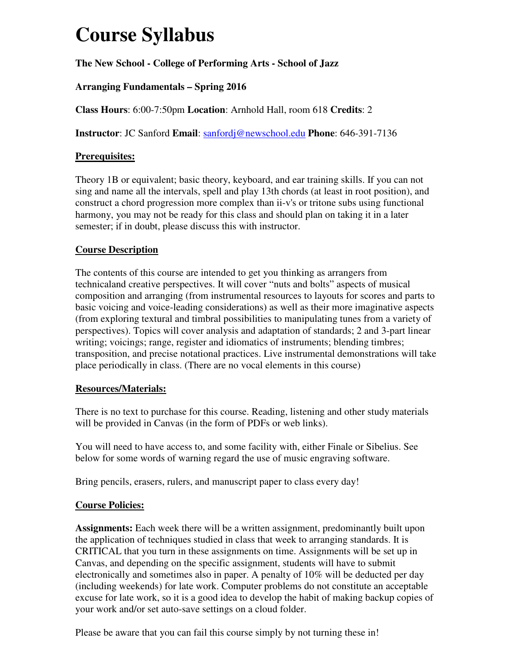# **Course Syllabus**

# **The New School - College of Performing Arts - School of Jazz**

# **Arranging Fundamentals – Spring 2016**

**Class Hours**: 6:00-7:50pm **Location**: Arnhold Hall, room 618 **Credits**: 2

**Instructor**: JC Sanford **Email**: sanfordj@newschool.edu **Phone**: 646-391-7136

## **Prerequisites:**

Theory 1B or equivalent; basic theory, keyboard, and ear training skills. If you can not sing and name all the intervals, spell and play 13th chords (at least in root position), and construct a chord progression more complex than ii-v's or tritone subs using functional harmony, you may not be ready for this class and should plan on taking it in a later semester; if in doubt, please discuss this with instructor.

## **Course Description**

The contents of this course are intended to get you thinking as arrangers from technicaland creative perspectives. It will cover "nuts and bolts" aspects of musical composition and arranging (from instrumental resources to layouts for scores and parts to basic voicing and voice-leading considerations) as well as their more imaginative aspects (from exploring textural and timbral possibilities to manipulating tunes from a variety of perspectives). Topics will cover analysis and adaptation of standards; 2 and 3-part linear writing; voicings; range, register and idiomatics of instruments; blending timbres; transposition, and precise notational practices. Live instrumental demonstrations will take place periodically in class. (There are no vocal elements in this course)

## **Resources/Materials:**

There is no text to purchase for this course. Reading, listening and other study materials will be provided in Canvas (in the form of PDFs or web links).

You will need to have access to, and some facility with, either Finale or Sibelius. See below for some words of warning regard the use of music engraving software.

Bring pencils, erasers, rulers, and manuscript paper to class every day!

## **Course Policies:**

**Assignments:** Each week there will be a written assignment, predominantly built upon the application of techniques studied in class that week to arranging standards. It is CRITICAL that you turn in these assignments on time. Assignments will be set up in Canvas, and depending on the specific assignment, students will have to submit electronically and sometimes also in paper. A penalty of 10% will be deducted per day (including weekends) for late work. Computer problems do not constitute an acceptable excuse for late work, so it is a good idea to develop the habit of making backup copies of your work and/or set auto-save settings on a cloud folder.

Please be aware that you can fail this course simply by not turning these in!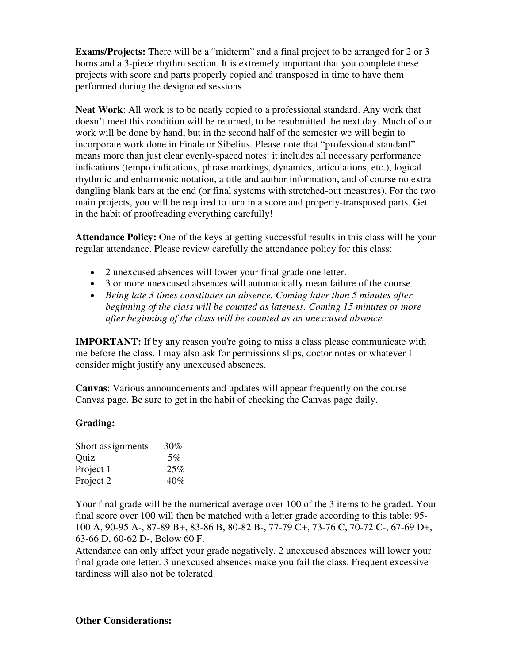**Exams/Projects:** There will be a "midterm" and a final project to be arranged for 2 or 3 horns and a 3-piece rhythm section. It is extremely important that you complete these projects with score and parts properly copied and transposed in time to have them performed during the designated sessions.

**Neat Work**: All work is to be neatly copied to a professional standard. Any work that doesn't meet this condition will be returned, to be resubmitted the next day. Much of our work will be done by hand, but in the second half of the semester we will begin to incorporate work done in Finale or Sibelius. Please note that "professional standard" means more than just clear evenly-spaced notes: it includes all necessary performance indications (tempo indications, phrase markings, dynamics, articulations, etc.), logical rhythmic and enharmonic notation, a title and author information, and of course no extra dangling blank bars at the end (or final systems with stretched-out measures). For the two main projects, you will be required to turn in a score and properly-transposed parts. Get in the habit of proofreading everything carefully!

**Attendance Policy:** One of the keys at getting successful results in this class will be your regular attendance. Please review carefully the attendance policy for this class:

- 2 unexcused absences will lower your final grade one letter.
- 3 or more unexcused absences will automatically mean failure of the course.
- *Being late 3 times constitutes an absence. Coming later than 5 minutes after beginning of the class will be counted as lateness. Coming 15 minutes or more after beginning of the class will be counted as an unexcused absence.*

**IMPORTANT:** If by any reason you're going to miss a class please communicate with me before the class. I may also ask for permissions slips, doctor notes or whatever I consider might justify any unexcused absences.

**Canvas**: Various announcements and updates will appear frequently on the course Canvas page. Be sure to get in the habit of checking the Canvas page daily.

#### **Grading:**

| Short assignments | 30%   |
|-------------------|-------|
| Quiz              | $5\%$ |
| Project 1         | 25%   |
| Project 2         | 40%   |

Your final grade will be the numerical average over 100 of the 3 items to be graded. Your final score over 100 will then be matched with a letter grade according to this table: 95- 100 A, 90-95 A-, 87-89 B+, 83-86 B, 80-82 B-, 77-79 C+, 73-76 C, 70-72 C-, 67-69 D+, 63-66 D, 60-62 D-, Below 60 F.

Attendance can only affect your grade negatively. 2 unexcused absences will lower your final grade one letter. 3 unexcused absences make you fail the class. Frequent excessive tardiness will also not be tolerated.

#### **Other Considerations:**